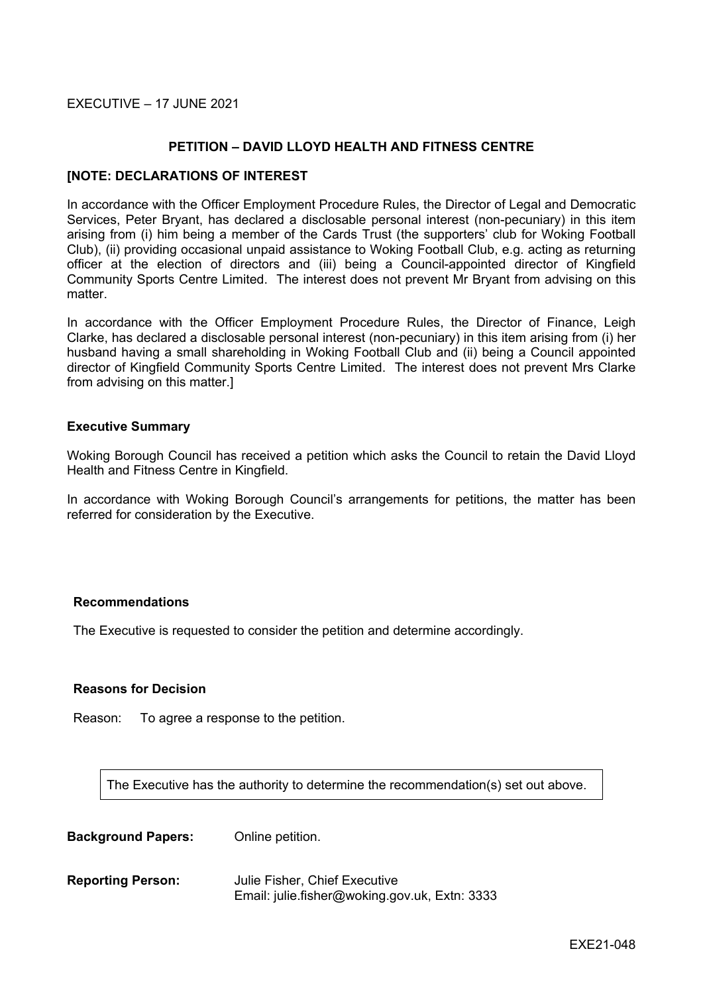EXECUTIVE – 17 JUNE 2021

## **PETITION – DAVID LLOYD HEALTH AND FITNESS CENTRE**

#### **[NOTE: DECLARATIONS OF INTEREST**

In accordance with the Officer Employment Procedure Rules, the Director of Legal and Democratic Services, Peter Bryant, has declared a disclosable personal interest (non-pecuniary) in this item arising from (i) him being a member of the Cards Trust (the supporters' club for Woking Football Club), (ii) providing occasional unpaid assistance to Woking Football Club, e.g. acting as returning officer at the election of directors and (iii) being a Council-appointed director of Kingfield Community Sports Centre Limited. The interest does not prevent Mr Bryant from advising on this matter.

In accordance with the Officer Employment Procedure Rules, the Director of Finance, Leigh Clarke, has declared a disclosable personal interest (non-pecuniary) in this item arising from (i) her husband having a small shareholding in Woking Football Club and (ii) being a Council appointed director of Kingfield Community Sports Centre Limited. The interest does not prevent Mrs Clarke from advising on this matter.]

#### **Executive Summary**

Woking Borough Council has received a petition which asks the Council to retain the David Lloyd Health and Fitness Centre in Kingfield.

In accordance with Woking Borough Council's arrangements for petitions, the matter has been referred for consideration by the Executive.

#### **Recommendations**

The Executive is requested to consider the petition and determine accordingly.

#### **Reasons for Decision**

Reason: To agree a response to the petition.

The Executive has the authority to determine the recommendation(s) set out above.

**Background Papers:** Online petition.

**Reporting Person:** Julie Fisher, Chief Executive Email: julie.fisher@woking.gov.uk, Extn: 3333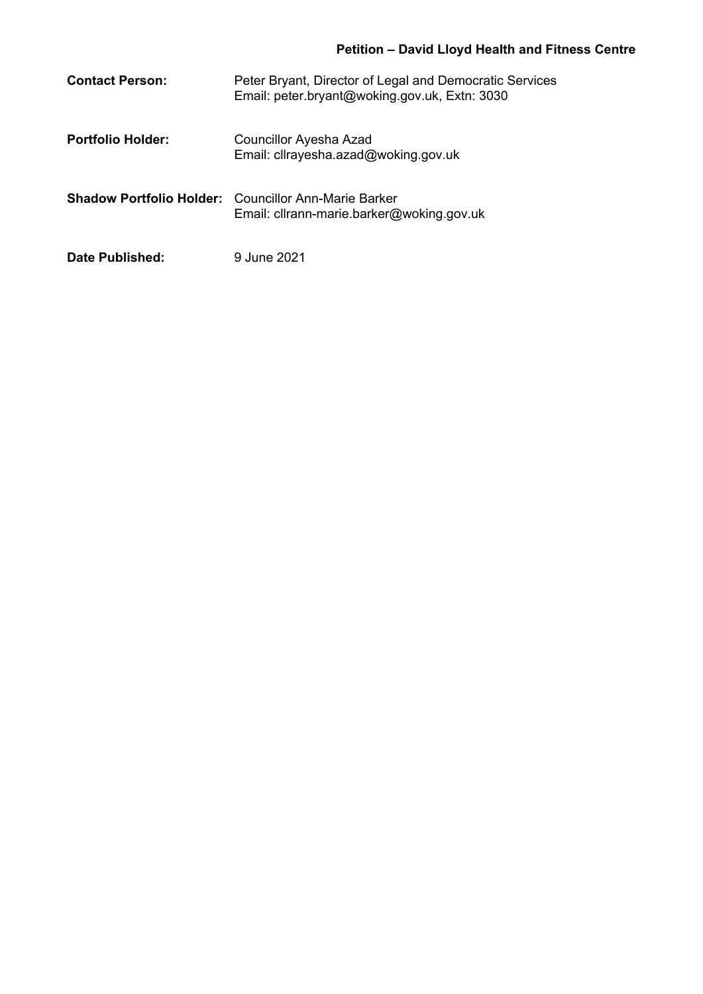# **Petition – David Lloyd Health and Fitness Centre**

| <b>Contact Person:</b>   | Peter Bryant, Director of Legal and Democratic Services<br>Email: peter.bryant@woking.gov.uk, Extn: 3030 |
|--------------------------|----------------------------------------------------------------------------------------------------------|
| <b>Portfolio Holder:</b> | Councillor Ayesha Azad<br>Email: cllrayesha.azad@woking.gov.uk                                           |
|                          | <b>Shadow Portfolio Holder:</b> Councillor Ann-Marie Barker<br>Email: cllrann-marie.barker@woking.gov.uk |
| Date Published:          | 9 June 2021                                                                                              |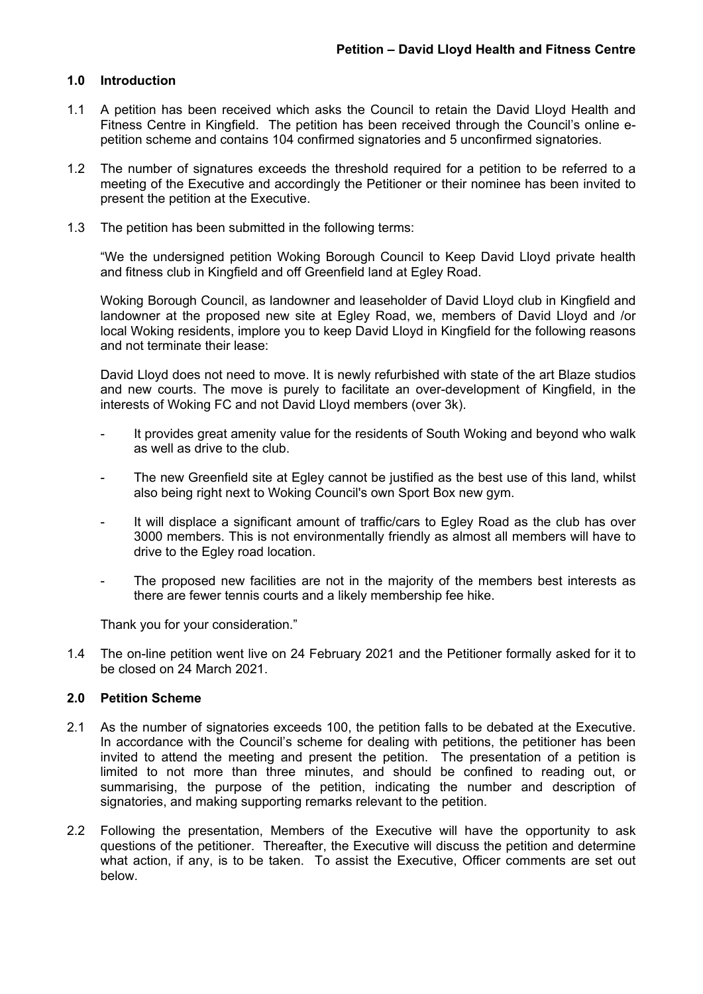## **1.0 Introduction**

- 1.1 A petition has been received which asks the Council to retain the David Lloyd Health and Fitness Centre in Kingfield. The petition has been received through the Council's online epetition scheme and contains 104 confirmed signatories and 5 unconfirmed signatories.
- 1.2 The number of signatures exceeds the threshold required for a petition to be referred to a meeting of the Executive and accordingly the Petitioner or their nominee has been invited to present the petition at the Executive.
- 1.3 The petition has been submitted in the following terms:

"We the undersigned petition Woking Borough Council to Keep David Lloyd private health and fitness club in Kingfield and off Greenfield land at Egley Road.

Woking Borough Council, as landowner and leaseholder of David Lloyd club in Kingfield and landowner at the proposed new site at Egley Road, we, members of David Lloyd and /or local Woking residents, implore you to keep David Lloyd in Kingfield for the following reasons and not terminate their lease:

David Lloyd does not need to move. It is newly refurbished with state of the art Blaze studios and new courts. The move is purely to facilitate an over-development of Kingfield, in the interests of Woking FC and not David Lloyd members (over 3k).

- It provides great amenity value for the residents of South Woking and beyond who walk as well as drive to the club.
- The new Greenfield site at Egley cannot be justified as the best use of this land, whilst also being right next to Woking Council's own Sport Box new gym.
- It will displace a significant amount of traffic/cars to Egley Road as the club has over 3000 members. This is not environmentally friendly as almost all members will have to drive to the Egley road location.
- The proposed new facilities are not in the majority of the members best interests as there are fewer tennis courts and a likely membership fee hike.

Thank you for your consideration."

1.4 The on-line petition went live on 24 February 2021 and the Petitioner formally asked for it to be closed on 24 March 2021.

#### **2.0 Petition Scheme**

- 2.1 As the number of signatories exceeds 100, the petition falls to be debated at the Executive. In accordance with the Council's scheme for dealing with petitions, the petitioner has been invited to attend the meeting and present the petition. The presentation of a petition is limited to not more than three minutes, and should be confined to reading out, or summarising, the purpose of the petition, indicating the number and description of signatories, and making supporting remarks relevant to the petition.
- 2.2 Following the presentation, Members of the Executive will have the opportunity to ask questions of the petitioner. Thereafter, the Executive will discuss the petition and determine what action, if any, is to be taken. To assist the Executive, Officer comments are set out below.